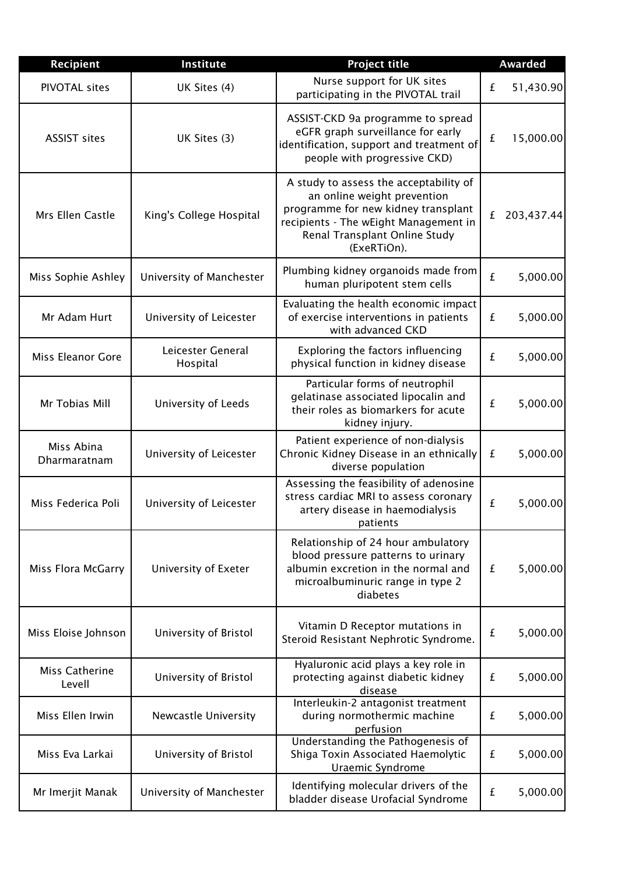| <b>Recipient</b>           | Institute                     | <b>Project title</b>                                                                                                                                                                                  |   | <b>Awarded</b> |
|----------------------------|-------------------------------|-------------------------------------------------------------------------------------------------------------------------------------------------------------------------------------------------------|---|----------------|
| <b>PIVOTAL sites</b>       | UK Sites (4)                  | Nurse support for UK sites<br>participating in the PIVOTAL trail                                                                                                                                      | £ | 51,430.90      |
| <b>ASSIST sites</b>        | UK Sites (3)                  | ASSIST-CKD 9a programme to spread<br>eGFR graph surveillance for early<br>identification, support and treatment of<br>people with progressive CKD)                                                    | £ | 15,000.00      |
| Mrs Ellen Castle           | King's College Hospital       | A study to assess the acceptability of<br>an online weight prevention<br>programme for new kidney transplant<br>recipients - The wEight Management in<br>Renal Transplant Online Study<br>(ExeRTiOn). | £ | 203,437.44     |
| Miss Sophie Ashley         | University of Manchester      | Plumbing kidney organoids made from<br>human pluripotent stem cells                                                                                                                                   | £ | 5,000.00       |
| Mr Adam Hurt               | University of Leicester       | Evaluating the health economic impact<br>of exercise interventions in patients<br>with advanced CKD                                                                                                   | £ | 5,000.00       |
| Miss Eleanor Gore          | Leicester General<br>Hospital | Exploring the factors influencing<br>physical function in kidney disease                                                                                                                              | £ | 5,000.00       |
| Mr Tobias Mill             | University of Leeds           | Particular forms of neutrophil<br>gelatinase associated lipocalin and<br>their roles as biomarkers for acute<br>kidney injury.                                                                        | £ | 5,000.00       |
| Miss Abina<br>Dharmaratnam | University of Leicester       | Patient experience of non-dialysis<br>Chronic Kidney Disease in an ethnically<br>diverse population                                                                                                   | £ | 5,000.00       |
| Miss Federica Poli         | University of Leicester       | Assessing the feasibility of adenosine<br>stress cardiac MRI to assess coronary<br>artery disease in haemodialysis<br>patients                                                                        | £ | 5,000.00       |
| Miss Flora McGarry         | University of Exeter          | Relationship of 24 hour ambulatory<br>blood pressure patterns to urinary<br>albumin excretion in the normal and<br>microalbuminuric range in type 2<br>diabetes                                       | £ | 5,000.00       |
| Miss Eloise Johnson        | University of Bristol         | Vitamin D Receptor mutations in<br>Steroid Resistant Nephrotic Syndrome.                                                                                                                              | £ | 5,000.00       |
| Miss Catherine<br>Levell   | University of Bristol         | Hyaluronic acid plays a key role in<br>protecting against diabetic kidney<br>disease                                                                                                                  | £ | 5,000.00       |
| Miss Ellen Irwin           | Newcastle University          | Interleukin-2 antagonist treatment<br>during normothermic machine<br>perfusion                                                                                                                        | £ | 5,000.00       |
| Miss Eva Larkai            | University of Bristol         | Understanding the Pathogenesis of<br>Shiga Toxin Associated Haemolytic<br>Uraemic Syndrome                                                                                                            | £ | 5,000.00       |
| Mr Imerjit Manak           | University of Manchester      | Identifying molecular drivers of the<br>bladder disease Urofacial Syndrome                                                                                                                            | £ | 5,000.00       |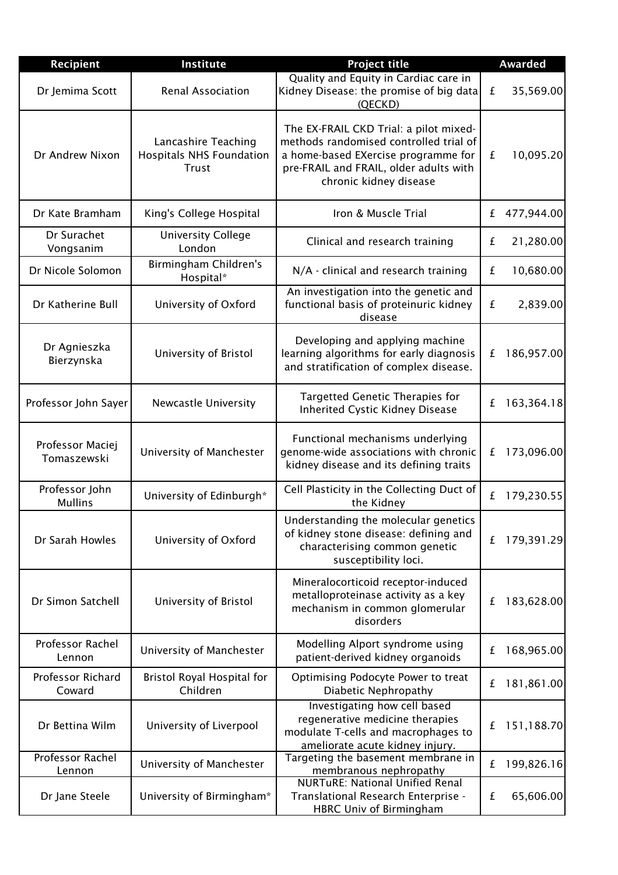| <b>Recipient</b>                  | Institute                                                       | <b>Project title</b>                                                                                                                                                                        | <b>Awarded</b>  |
|-----------------------------------|-----------------------------------------------------------------|---------------------------------------------------------------------------------------------------------------------------------------------------------------------------------------------|-----------------|
| Dr Jemima Scott                   | <b>Renal Association</b>                                        | Quality and Equity in Cardiac care in<br>Kidney Disease: the promise of big data<br>(QECKD)                                                                                                 | 35,569.00<br>£  |
| Dr Andrew Nixon                   | Lancashire Teaching<br><b>Hospitals NHS Foundation</b><br>Trust | The EX-FRAIL CKD Trial: a pilot mixed-<br>methods randomised controlled trial of<br>a home-based EXercise programme for<br>pre-FRAIL and FRAIL, older adults with<br>chronic kidney disease | 10,095.20<br>£  |
| Dr Kate Bramham                   | King's College Hospital                                         | Iron & Muscle Trial                                                                                                                                                                         | 477,944.00<br>£ |
| Dr Surachet<br>Vongsanim          | <b>University College</b><br>London                             | Clinical and research training                                                                                                                                                              | 21,280.00<br>£  |
| Dr Nicole Solomon                 | Birmingham Children's<br>Hospital*                              | N/A - clinical and research training                                                                                                                                                        | 10,680.00<br>£  |
| Dr Katherine Bull                 | University of Oxford                                            | An investigation into the genetic and<br>functional basis of proteinuric kidney<br>disease                                                                                                  | £<br>2,839.00   |
| Dr Agnieszka<br>Bierzynska        | University of Bristol                                           | Developing and applying machine<br>learning algorithms for early diagnosis<br>and stratification of complex disease.                                                                        | 186,957.00<br>£ |
| Professor John Sayer              | Newcastle University                                            | Targetted Genetic Therapies for<br><b>Inherited Cystic Kidney Disease</b>                                                                                                                   | 163,364.18<br>£ |
| Professor Maciej<br>Tomaszewski   | University of Manchester                                        | Functional mechanisms underlying<br>genome-wide associations with chronic<br>kidney disease and its defining traits                                                                         | 173,096.00<br>£ |
| Professor John<br><b>Mullins</b>  | University of Edinburgh*                                        | Cell Plasticity in the Collecting Duct of<br>the Kidney                                                                                                                                     | 179,230.55<br>£ |
| Dr Sarah Howles                   | University of Oxford                                            | Understanding the molecular genetics<br>of kidney stone disease: defining and<br>characterising common genetic<br>susceptibility loci.                                                      | 179,391.29<br>£ |
| Dr Simon Satchell                 | University of Bristol                                           | Mineralocorticoid receptor-induced<br>metalloproteinase activity as a key<br>mechanism in common glomerular<br>disorders                                                                    | 183,628.00<br>£ |
| Professor Rachel<br>Lennon        | University of Manchester                                        | Modelling Alport syndrome using<br>patient-derived kidney organoids                                                                                                                         | 168,965.00<br>£ |
| Professor Richard<br>Coward       | Bristol Royal Hospital for<br>Children                          | Optimising Podocyte Power to treat<br>Diabetic Nephropathy                                                                                                                                  | 181,861.00<br>£ |
| Dr Bettina Wilm                   | University of Liverpool                                         | Investigating how cell based<br>regenerative medicine therapies<br>modulate T-cells and macrophages to<br>ameliorate acute kidney injury.                                                   | 151,188.70<br>£ |
| <b>Professor Rachel</b><br>Lennon | University of Manchester                                        | Targeting the basement membrane in<br>membranous nephropathy                                                                                                                                | 199,826.16<br>£ |
| Dr Jane Steele                    | University of Birmingham*                                       | <b>NURTuRE: National Unified Renal</b><br>Translational Research Enterprise -<br><b>HBRC Univ of Birmingham</b>                                                                             | 65,606.00<br>£  |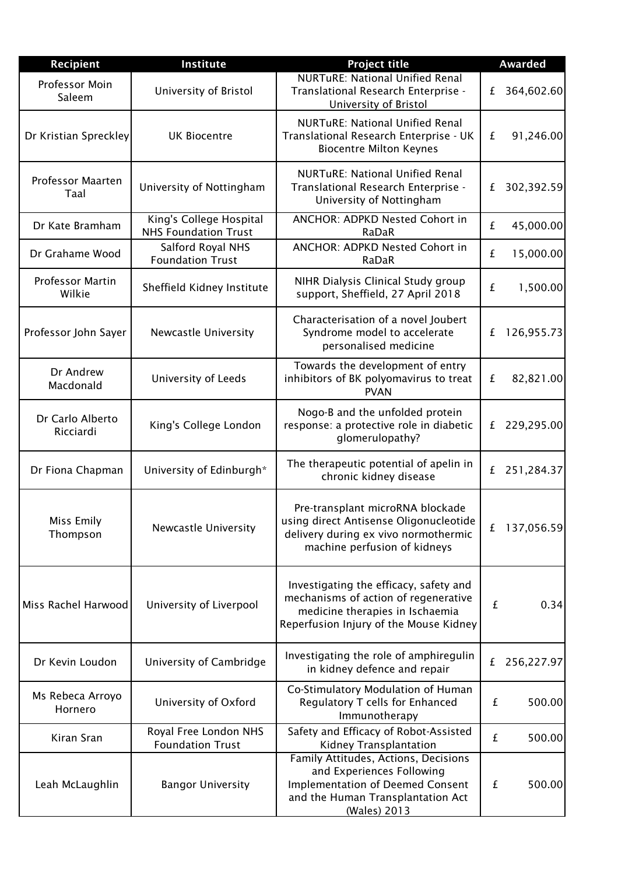| Recipient                         | Institute                                              | <b>Project title</b>                                                                                                                                              | <b>Awarded</b>  |
|-----------------------------------|--------------------------------------------------------|-------------------------------------------------------------------------------------------------------------------------------------------------------------------|-----------------|
| Professor Moin<br>Saleem          | University of Bristol                                  | <b>NURTuRE: National Unified Renal</b><br>Translational Research Enterprise -<br>University of Bristol                                                            | 364,602.60<br>£ |
| Dr Kristian Spreckley             | <b>UK Biocentre</b>                                    | <b>NURTuRE: National Unified Renal</b><br>Translational Research Enterprise - UK<br><b>Biocentre Milton Keynes</b>                                                | 91,246.00<br>£  |
| <b>Professor Maarten</b><br>Taal  | University of Nottingham                               | <b>NURTURE: National Unified Renal</b><br>Translational Research Enterprise -<br>University of Nottingham                                                         | 302,392.59<br>£ |
| Dr Kate Bramham                   | King's College Hospital<br><b>NHS Foundation Trust</b> | ANCHOR: ADPKD Nested Cohort in<br>RaDaR                                                                                                                           | 45,000.00<br>£  |
| Dr Grahame Wood                   | Salford Royal NHS<br><b>Foundation Trust</b>           | ANCHOR: ADPKD Nested Cohort in<br>RaDaR                                                                                                                           | 15,000.00<br>£  |
| <b>Professor Martin</b><br>Wilkie | Sheffield Kidney Institute                             | NIHR Dialysis Clinical Study group<br>support, Sheffield, 27 April 2018                                                                                           | 1,500.00<br>£   |
| Professor John Sayer              | Newcastle University                                   | Characterisation of a novel Joubert<br>Syndrome model to accelerate<br>personalised medicine                                                                      | 126,955.73<br>£ |
| Dr Andrew<br>Macdonald            | University of Leeds                                    | Towards the development of entry<br>inhibitors of BK polyomavirus to treat<br><b>PVAN</b>                                                                         | 82,821.00<br>£  |
| Dr Carlo Alberto<br>Ricciardi     | King's College London                                  | Nogo-B and the unfolded protein<br>response: a protective role in diabetic<br>glomerulopathy?                                                                     | 229,295.00<br>£ |
| Dr Fiona Chapman                  | University of Edinburgh*                               | The therapeutic potential of apelin in<br>chronic kidney disease                                                                                                  | 251,284.37<br>£ |
| Miss Emily<br>Thompson            | Newcastle University                                   | Pre-transplant microRNA blockade<br>using direct Antisense Oligonucleotide<br>delivery during ex vivo normothermic<br>machine perfusion of kidneys                | 137,056.59<br>£ |
| Miss Rachel Harwood               | University of Liverpool                                | Investigating the efficacy, safety and<br>mechanisms of action of regenerative<br>medicine therapies in Ischaemia<br>Reperfusion Injury of the Mouse Kidney       | 0.34<br>£       |
| Dr Kevin Loudon                   | University of Cambridge                                | Investigating the role of amphiregulin<br>in kidney defence and repair                                                                                            | 256,227.97<br>£ |
| Ms Rebeca Arroyo<br>Hornero       | University of Oxford                                   | Co-Stimulatory Modulation of Human<br>Regulatory T cells for Enhanced<br>Immunotherapy                                                                            | 500.00<br>£     |
| Kiran Sran                        | Royal Free London NHS<br><b>Foundation Trust</b>       | Safety and Efficacy of Robot-Assisted<br>Kidney Transplantation                                                                                                   | £<br>500.00     |
| Leah McLaughlin                   | <b>Bangor University</b>                               | Family Attitudes, Actions, Decisions<br>and Experiences Following<br><b>Implementation of Deemed Consent</b><br>and the Human Transplantation Act<br>(Wales) 2013 | £<br>500.00     |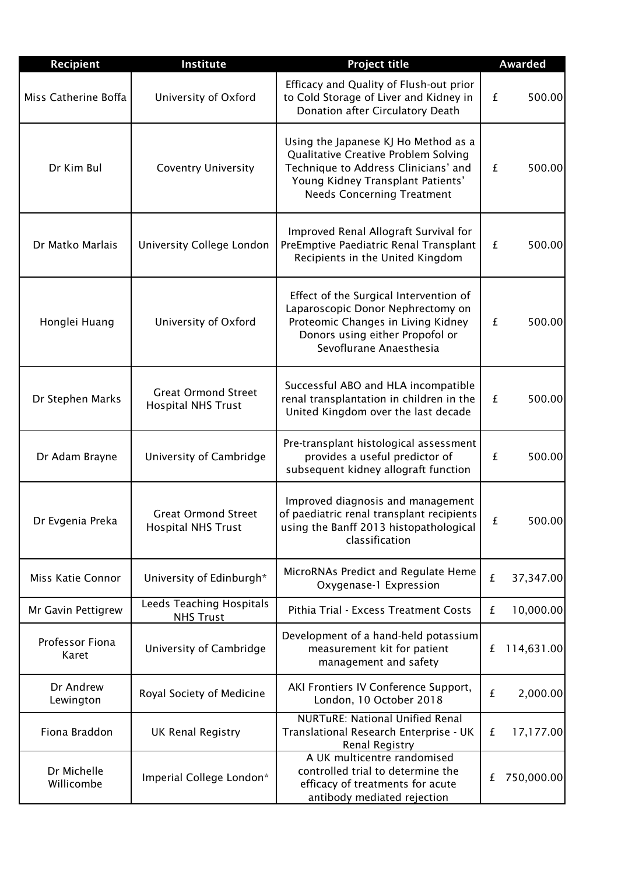| <b>Recipient</b>          | Institute                                               | <b>Project title</b>                                                                                                                                                                           | <b>Awarded</b>  |
|---------------------------|---------------------------------------------------------|------------------------------------------------------------------------------------------------------------------------------------------------------------------------------------------------|-----------------|
| Miss Catherine Boffa      | University of Oxford                                    | Efficacy and Quality of Flush-out prior<br>to Cold Storage of Liver and Kidney in<br>Donation after Circulatory Death                                                                          | £<br>500.00     |
| Dr Kim Bul                | <b>Coventry University</b>                              | Using the Japanese KJ Ho Method as a<br>Qualitative Creative Problem Solving<br>Technique to Address Clinicians' and<br>Young Kidney Transplant Patients'<br><b>Needs Concerning Treatment</b> | £<br>500.00     |
| Dr Matko Marlais          | University College London                               | Improved Renal Allograft Survival for<br>PreEmptive Paediatric Renal Transplant<br>Recipients in the United Kingdom                                                                            | £<br>500.00     |
| Honglei Huang             | University of Oxford                                    | Effect of the Surgical Intervention of<br>Laparoscopic Donor Nephrectomy on<br>Proteomic Changes in Living Kidney<br>Donors using either Propofol or<br>Sevoflurane Anaesthesia                | £<br>500.00     |
| Dr Stephen Marks          | <b>Great Ormond Street</b><br><b>Hospital NHS Trust</b> | Successful ABO and HLA incompatible<br>renal transplantation in children in the<br>United Kingdom over the last decade                                                                         | 500.00<br>£     |
| Dr Adam Brayne            | University of Cambridge                                 | Pre-transplant histological assessment<br>provides a useful predictor of<br>subsequent kidney allograft function                                                                               | £<br>500.00     |
| Dr Evgenia Preka          | <b>Great Ormond Street</b><br><b>Hospital NHS Trust</b> | Improved diagnosis and management<br>of paediatric renal transplant recipients<br>using the Banff 2013 histopathological<br>classification                                                     | £<br>500.00     |
| Miss Katie Connor         | University of Edinburgh*                                | MicroRNAs Predict and Regulate Heme<br>Oxygenase-1 Expression                                                                                                                                  | £<br>37,347.00  |
| Mr Gavin Pettigrew        | Leeds Teaching Hospitals<br><b>NHS Trust</b>            | Pithia Trial - Excess Treatment Costs                                                                                                                                                          | 10,000.00<br>£  |
| Professor Fiona<br>Karet  | University of Cambridge                                 | Development of a hand-held potassium<br>measurement kit for patient<br>management and safety                                                                                                   | 114,631.00<br>£ |
| Dr Andrew<br>Lewington    | Royal Society of Medicine                               | AKI Frontiers IV Conference Support,<br>London, 10 October 2018                                                                                                                                | £<br>2,000.00   |
| Fiona Braddon             | <b>UK Renal Registry</b>                                | <b>NURTURE: National Unified Renal</b><br>Translational Research Enterprise - UK<br><b>Renal Registry</b>                                                                                      | 17,177.00<br>£  |
| Dr Michelle<br>Willicombe | Imperial College London*                                | A UK multicentre randomised<br>controlled trial to determine the<br>efficacy of treatments for acute<br>antibody mediated rejection                                                            | 750,000.00<br>£ |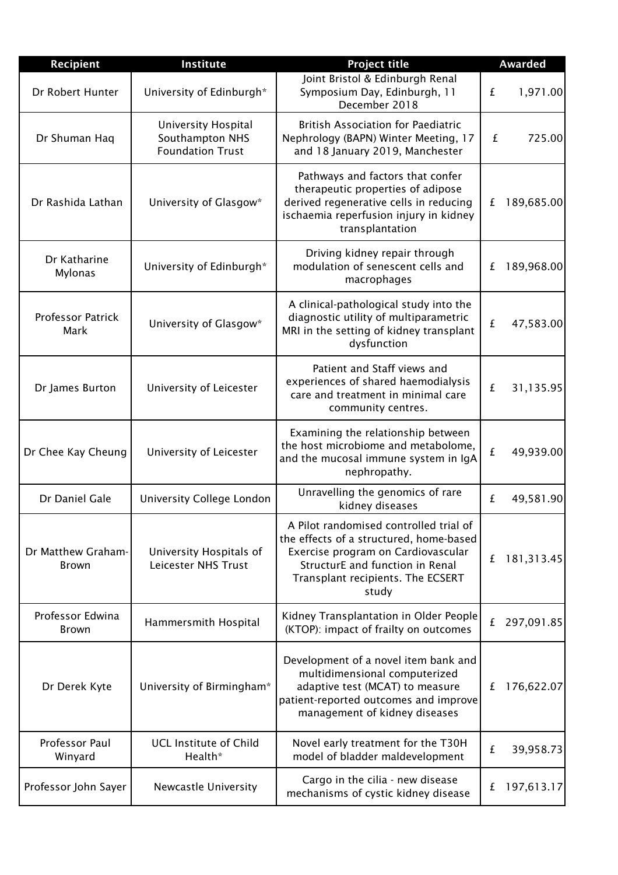| Recipient                          | Institute                                                         | <b>Project title</b>                                                                                                                                                                                     | <b>Awarded</b>  |
|------------------------------------|-------------------------------------------------------------------|----------------------------------------------------------------------------------------------------------------------------------------------------------------------------------------------------------|-----------------|
| Dr Robert Hunter                   | University of Edinburgh*                                          | Joint Bristol & Edinburgh Renal<br>Symposium Day, Edinburgh, 11<br>December 2018                                                                                                                         | 1,971.00<br>£   |
| Dr Shuman Haq                      | University Hospital<br>Southampton NHS<br><b>Foundation Trust</b> | <b>British Association for Paediatric</b><br>Nephrology (BAPN) Winter Meeting, 17<br>and 18 January 2019, Manchester                                                                                     | 725.00<br>£     |
| Dr Rashida Lathan                  | University of Glasgow*                                            | Pathways and factors that confer<br>therapeutic properties of adipose<br>derived regenerative cells in reducing<br>ischaemia reperfusion injury in kidney<br>transplantation                             | 189,685.00<br>£ |
| Dr Katharine<br><b>Mylonas</b>     | University of Edinburgh*                                          | Driving kidney repair through<br>modulation of senescent cells and<br>macrophages                                                                                                                        | 189,968.00<br>£ |
| <b>Professor Patrick</b><br>Mark   | University of Glasgow*                                            | A clinical-pathological study into the<br>diagnostic utility of multiparametric<br>MRI in the setting of kidney transplant<br>dysfunction                                                                | £<br>47,583.00  |
| Dr James Burton                    | University of Leicester                                           | Patient and Staff views and<br>experiences of shared haemodialysis<br>care and treatment in minimal care<br>community centres.                                                                           | £<br>31,135.95  |
| Dr Chee Kay Cheung                 | University of Leicester                                           | Examining the relationship between<br>the host microbiome and metabolome,<br>and the mucosal immune system in IgA<br>nephropathy.                                                                        | £<br>49,939.00  |
| Dr Daniel Gale                     | University College London                                         | Unravelling the genomics of rare<br>kidney diseases                                                                                                                                                      | 49,581.90<br>£  |
| Dr Matthew Graham-<br><b>Brown</b> | University Hospitals of<br>Leicester NHS Trust                    | A Pilot randomised controlled trial of<br>the effects of a structured, home-based<br>Exercise program on Cardiovascular<br>StructurE and function in Renal<br>Transplant recipients. The ECSERT<br>study | 181,313.45<br>£ |
| Professor Edwina<br><b>Brown</b>   | Hammersmith Hospital                                              | Kidney Transplantation in Older People<br>(KTOP): impact of frailty on outcomes                                                                                                                          | 297,091.85<br>£ |
| Dr Derek Kyte                      | University of Birmingham*                                         | Development of a novel item bank and<br>multidimensional computerized<br>adaptive test (MCAT) to measure<br>patient-reported outcomes and improve<br>management of kidney diseases                       | 176,622.07<br>£ |
| Professor Paul<br>Winyard          | <b>UCL Institute of Child</b><br>Health*                          | Novel early treatment for the T30H<br>model of bladder maldevelopment                                                                                                                                    | £<br>39,958.73  |
| Professor John Sayer               | Newcastle University                                              | Cargo in the cilia - new disease<br>mechanisms of cystic kidney disease                                                                                                                                  | 197,613.17<br>£ |